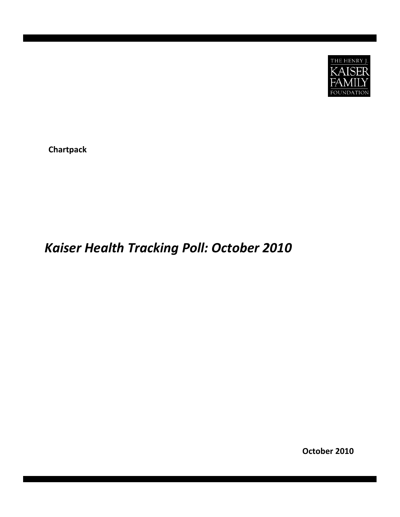

**Chartpack**

# *Kaiser Health Tracking Poll: October 2010*

**October 2010**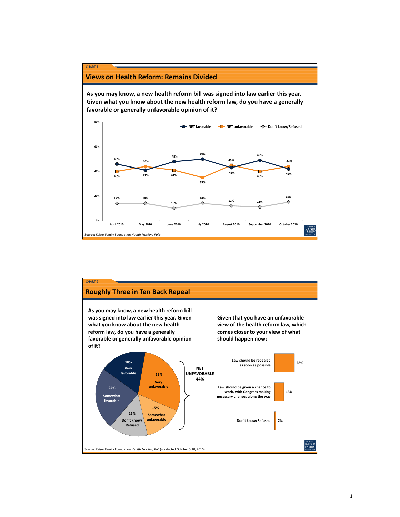### **Views on Health Reform: Remains Divided**

CHART 1

**As you may know, a new health reform bill was signed into law earlier this year. Given what you know about the new health reform law, do you have a generally favorable or generally unfavorable opinion of it?**



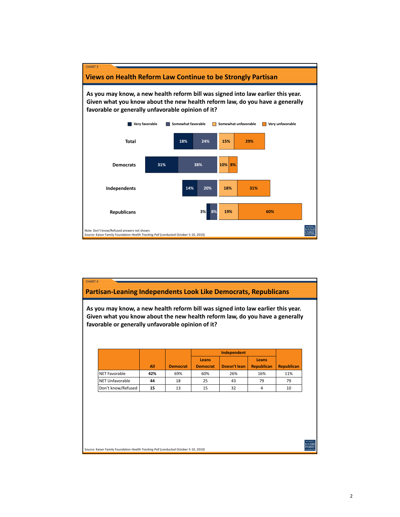

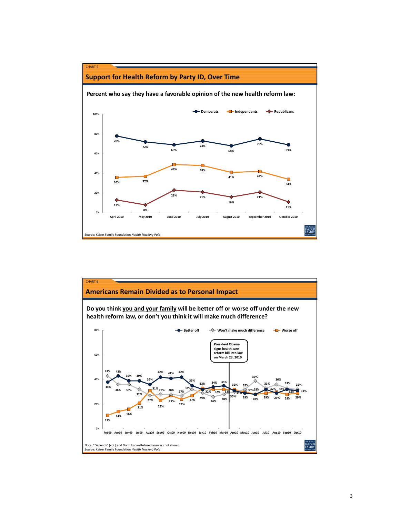

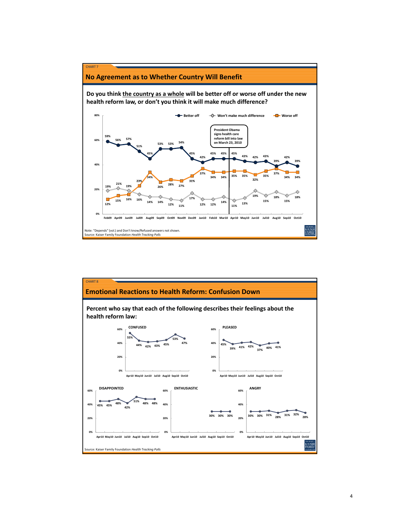

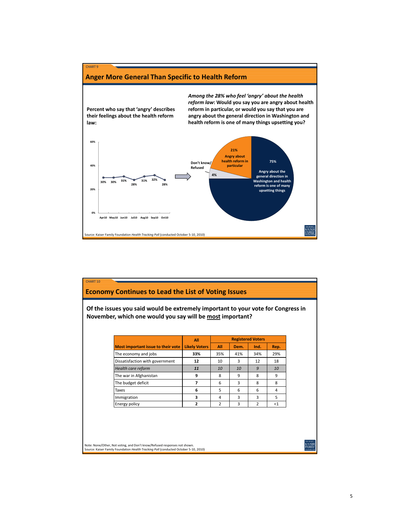

## **Economy Continues to Lead the List of Voting Issues**

CHART 10

**Of the issues you said would be extremely important to your vote for Congress in November, which one would you say will be most important?**

|                                    | All                  | <b>Registered Voters</b> |      |      |      |
|------------------------------------|----------------------|--------------------------|------|------|------|
| Most important issue to their vote | <b>Likely Voters</b> | All                      | Dem. | Ind. | Rep. |
| The economy and jobs               | 33%                  | 35%                      | 41%  | 34%  | 29%  |
| Dissatisfaction with government    | 12                   | 10                       | 3    | 12   | 18   |
| Health care reform                 | 11                   | 10                       | 10   | 9    | 10   |
| The war in Afghanistan             | 9                    | 8                        | 9    | 8    | 9    |
| The budget deficit                 |                      | 6                        | 3    | 8    | 8    |
| Taxes                              | 6                    | 5                        | 6    | 6    | 4    |
| Immigration                        | 3                    | 4                        | 3    | 3    | 5    |
| Energy policy                      | ,                    | $\mathcal{P}$            | 3    | 2    | <1   |

Note: None/Other, Not voting, and Don't know/Refused responses not shown. Source: Kaiser Family Foundation *Health Tracking Poll* (conducted October 5‐10, 2010)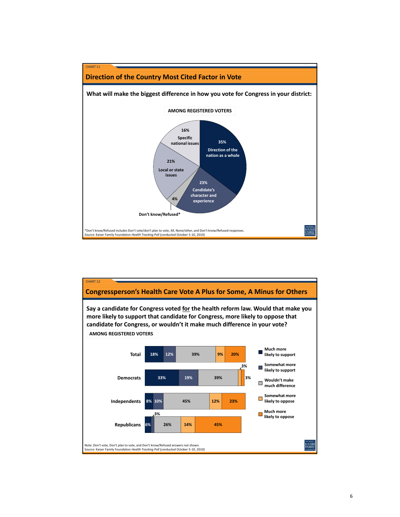

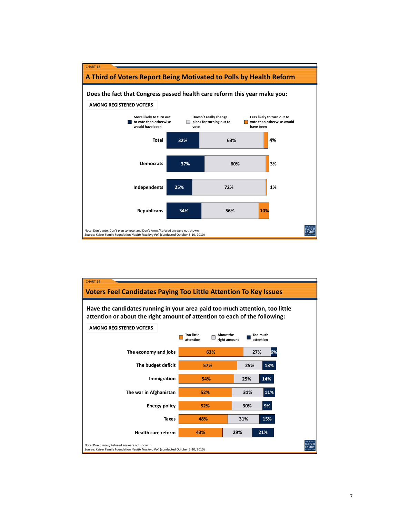

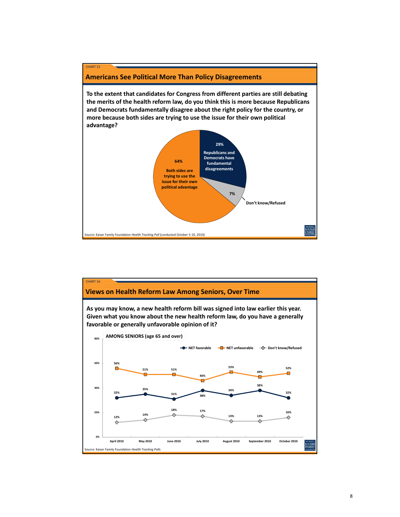

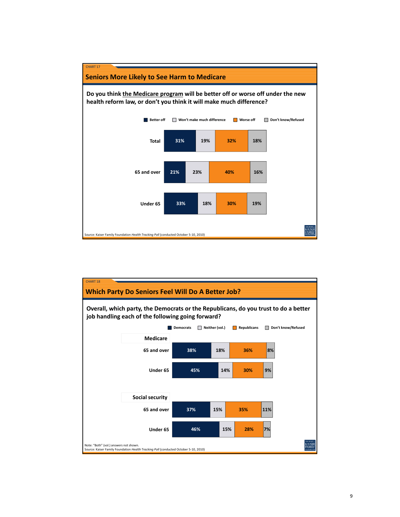

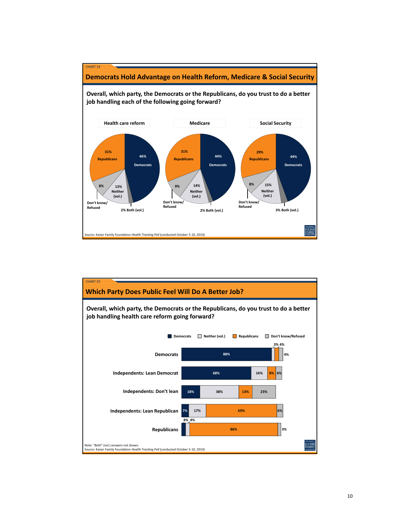

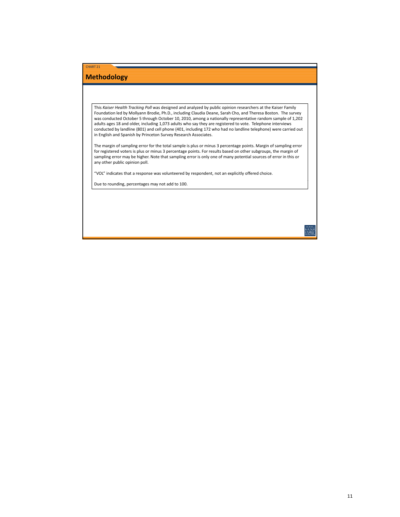# **Methodology**

CHART 21

This *Kaiser Health Tracking Poll* was designed and analyzed by public opinion researchers at the Kaiser Family Foundation led by Mollyann Brodie, Ph.D., including Claudia Deane, Sarah Cho, and Theresa Boston. The survey was conducted October 5 through October 10, 2010, among a nationally representative random sample of 1,202 adults ages 18 and older, including 1,073 adults who say they are registered to vote. Telephone interviews conducted by landline (801) and cell phone (401, including 172 who had no landline telephone) were carried out in English and Spanish by Princeton Survey Research Associates.

The margin of sampling error for the total sample is plus or minus 3 percentage points. Margin of sampling error for registered voters is plus or minus 3 percentage points. For results based on other subgroups, the margin of sampling error may be higher. Note that sampling error is only one of many potential sources of error in this or any other public opinion poll.

"VOL" indicates that a response was volunteered by respondent, not an explicitly offered choice.

Due to rounding, percentages may not add to 100.

**AISE**<br>AMIL